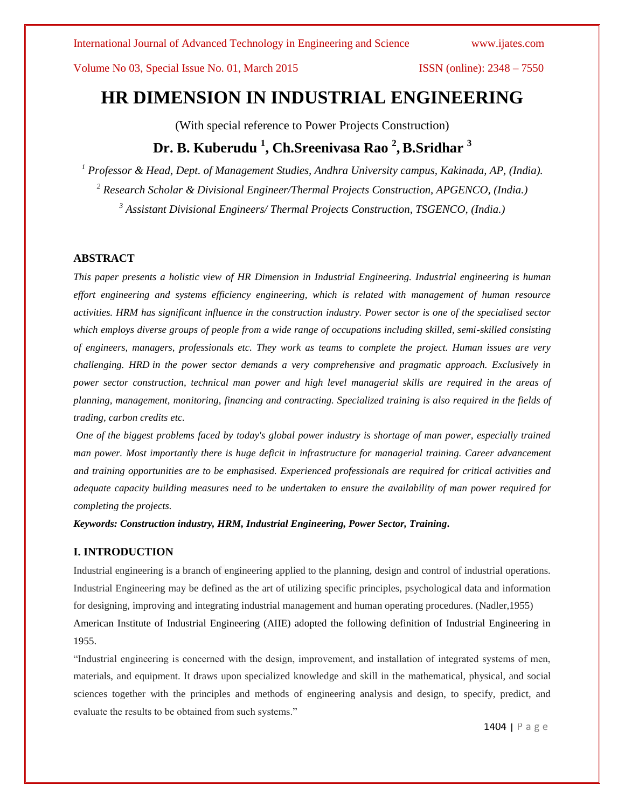# **HR DIMENSION IN INDUSTRIAL ENGINEERING**

(With special reference to Power Projects Construction)

# **Dr. B. Kuberudu <sup>1</sup> , Ch.Sreenivasa Rao <sup>2</sup> , B.Sridhar <sup>3</sup>**

*<sup>1</sup> Professor & Head, Dept. of Management Studies, Andhra University campus, Kakinada, AP, (India). <sup>2</sup> Research Scholar & Divisional Engineer/Thermal Projects Construction, APGENCO, (India.) <sup>3</sup> Assistant Divisional Engineers/ Thermal Projects Construction, TSGENCO, (India.)*

# **ABSTRACT**

*This paper presents a holistic view of HR Dimension in Industrial Engineering. Industrial engineering is human effort engineering and systems efficiency engineering, which is related with management of human resource activities. HRM has significant influence in the construction industry. Power sector is one of the specialised sector which employs diverse groups of people from a wide range of occupations including skilled, semi-skilled consisting of engineers, managers, professionals etc. They work as teams to complete the project. Human issues are very challenging. HRD in the power sector demands a very comprehensive and pragmatic approach. Exclusively in power sector construction, technical man power and high level managerial skills are required in the areas of planning, management, monitoring, financing and contracting. Specialized training is also required in the fields of trading, carbon credits etc.*

*One of the biggest problems faced by today's global power industry is shortage of man power, especially trained man power. Most importantly there is huge deficit in infrastructure for managerial training. Career advancement and training opportunities are to be emphasised. Experienced professionals are required for critical activities and adequate capacity building measures need to be undertaken to ensure the availability of man power required for completing the projects.*

*Keywords: Construction industry, HRM, Industrial Engineering, Power Sector, Training.*

# **I. INTRODUCTION**

Industrial engineering is a branch of engineering applied to the planning, design and control of industrial operations. Industrial Engineering may be defined as the art of utilizing specific principles, psychological data and information for designing, improving and integrating industrial management and human operating procedures. (Nadler,1955) American Institute of Industrial Engineering (AIIE) adopted the following definition of Industrial Engineering in 1955.

"Industrial engineering is concerned with the design, improvement, and installation of integrated systems of men, materials, and equipment. It draws upon specialized knowledge and skill in the mathematical, physical, and social sciences together with the principles and methods of engineering analysis and design, to specify, predict, and evaluate the results to be obtained from such systems."

1404 | P a g e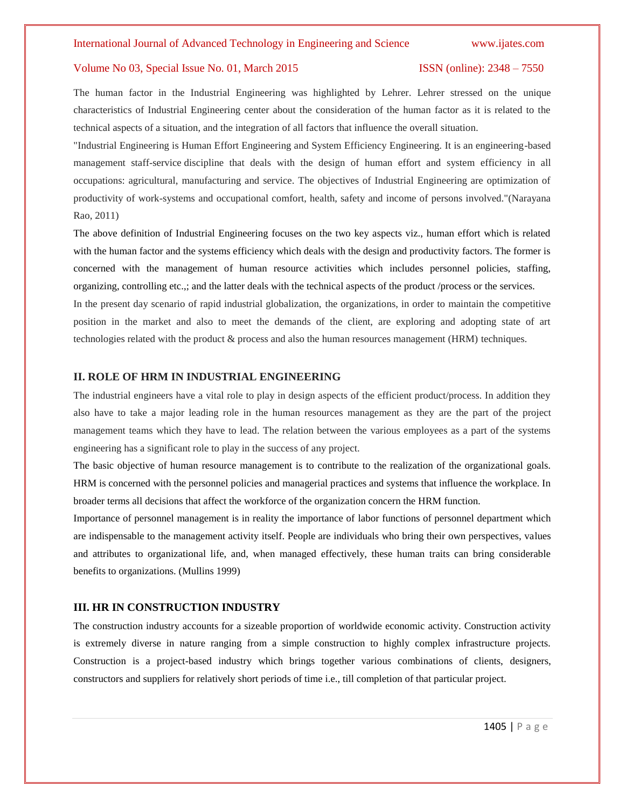The human factor in the Industrial Engineering was highlighted by Lehrer. Lehrer stressed on the unique characteristics of Industrial Engineering center about the consideration of the human factor as it is related to the technical aspects of a situation, and the integration of all factors that influence the overall situation.

"Industrial Engineering is Human Effort Engineering and System Efficiency Engineering. It is an engineering-based management staff-service discipline that deals with the design of human effort and system efficiency in all occupations: agricultural, manufacturing and service. The objectives of Industrial Engineering are optimization of productivity of work-systems and occupational comfort, health, safety and income of persons involved."(Narayana Rao, 2011)

The above definition of Industrial Engineering focuses on the two key aspects viz., human effort which is related with the human factor and the systems efficiency which deals with the design and productivity factors. The former is concerned with the management of human resource activities which includes personnel policies, staffing, organizing, controlling etc.,; and the latter deals with the technical aspects of the product /process or the services.

In the present day scenario of rapid industrial globalization, the organizations, in order to maintain the competitive position in the market and also to meet the demands of the client, are exploring and adopting state of art technologies related with the product & process and also the human resources management (HRM) techniques.

### **II. ROLE OF HRM IN INDUSTRIAL ENGINEERING**

The industrial engineers have a vital role to play in design aspects of the efficient product/process. In addition they also have to take a major leading role in the human resources management as they are the part of the project management teams which they have to lead. The relation between the various employees as a part of the systems engineering has a significant role to play in the success of any project.

The basic objective of human resource management is to contribute to the realization of the organizational goals. HRM is concerned with the personnel policies and managerial practices and systems that influence the workplace. In broader terms all decisions that affect the workforce of the organization concern the HRM function.

Importance of personnel management is in reality the importance of labor functions of personnel department which are indispensable to the management activity itself. People are individuals who bring their own perspectives, values and attributes to organizational life, and, when managed effectively, these human traits can bring considerable benefits to organizations. (Mullins 1999)

# **III. HR IN CONSTRUCTION INDUSTRY**

The construction industry accounts for a sizeable proportion of worldwide economic activity. Construction activity is extremely diverse in nature ranging from a simple construction to highly complex infrastructure projects. Construction is a project-based industry which brings together various combinations of clients, designers, constructors and suppliers for relatively short periods of time i.e., till completion of that particular project.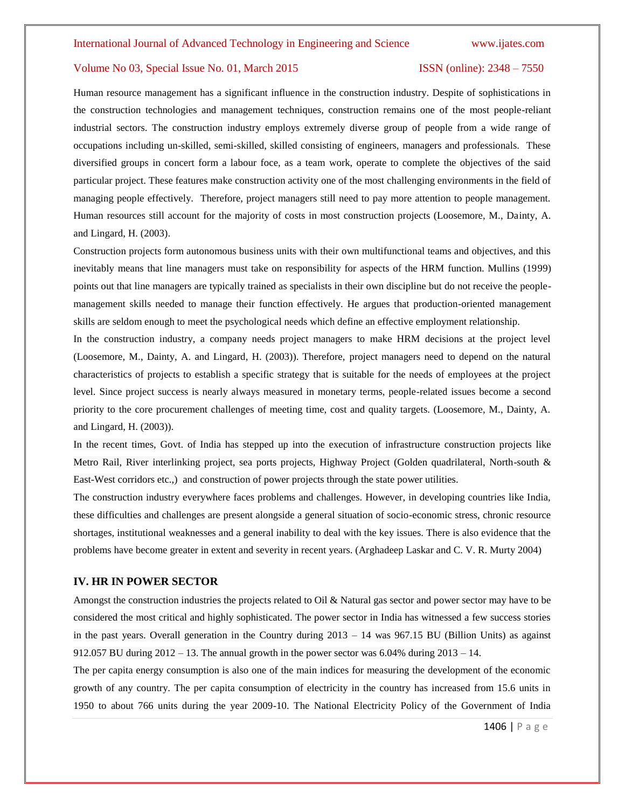### International Journal of Advanced Technology in Engineering and Science www.ijates.com

# Volume No 03, Special Issue No. 01, March 2015 ISSN (online): 2348 – 7550

Human resource management has a significant influence in the construction industry. Despite of sophistications in the construction technologies and management techniques, construction remains one of the most people-reliant industrial sectors. The construction industry employs extremely diverse group of people from a wide range of occupations including un-skilled, semi-skilled, skilled consisting of engineers, managers and professionals. These diversified groups in concert form a labour foce, as a team work, operate to complete the objectives of the said particular project. These features make construction activity one of the most challenging environments in the field of managing people effectively. Therefore, project managers still need to pay more attention to people management. Human resources still account for the majority of costs in most construction projects (Loosemore, M., Dainty, A. and Lingard, H. (2003).

Construction projects form autonomous business units with their own multifunctional teams and objectives, and this inevitably means that line managers must take on responsibility for aspects of the HRM function. Mullins (1999) points out that line managers are typically trained as specialists in their own discipline but do not receive the peoplemanagement skills needed to manage their function effectively. He argues that production-oriented management skills are seldom enough to meet the psychological needs which define an effective employment relationship.

In the construction industry, a company needs project managers to make HRM decisions at the project level (Loosemore, M., Dainty, A. and Lingard, H. (2003)). Therefore, project managers need to depend on the natural characteristics of projects to establish a specific strategy that is suitable for the needs of employees at the project level. Since project success is nearly always measured in monetary terms, people-related issues become a second priority to the core procurement challenges of meeting time, cost and quality targets. (Loosemore, M., Dainty, A. and Lingard, H. (2003)).

In the recent times, Govt. of India has stepped up into the execution of infrastructure construction projects like Metro Rail, River interlinking project, sea ports projects, Highway Project (Golden quadrilateral, North-south & East-West corridors etc.,) and construction of power projects through the state power utilities.

The construction industry everywhere faces problems and challenges. However, in developing countries like India, these difficulties and challenges are present alongside a general situation of socio-economic stress, chronic resource shortages, institutional weaknesses and a general inability to deal with the key issues. There is also evidence that the problems have become greater in extent and severity in recent years. (Arghadeep Laskar and C. V. R. Murty 2004)

### **IV. HR IN POWER SECTOR**

Amongst the construction industries the projects related to Oil & Natural gas sector and power sector may have to be considered the most critical and highly sophisticated. The power sector in India has witnessed a few success stories in the past years. Overall generation in the Country during 2013 – 14 was 967.15 BU (Billion Units) as against 912.057 BU during  $2012 - 13$ . The annual growth in the power sector was 6.04% during  $2013 - 14$ .

The per capita energy consumption is also one of the main indices for measuring the development of the economic growth of any country. The per capita consumption of electricity in the country has increased from 15.6 units in 1950 to about 766 units during the year 2009-10. The National Electricity Policy of the Government of India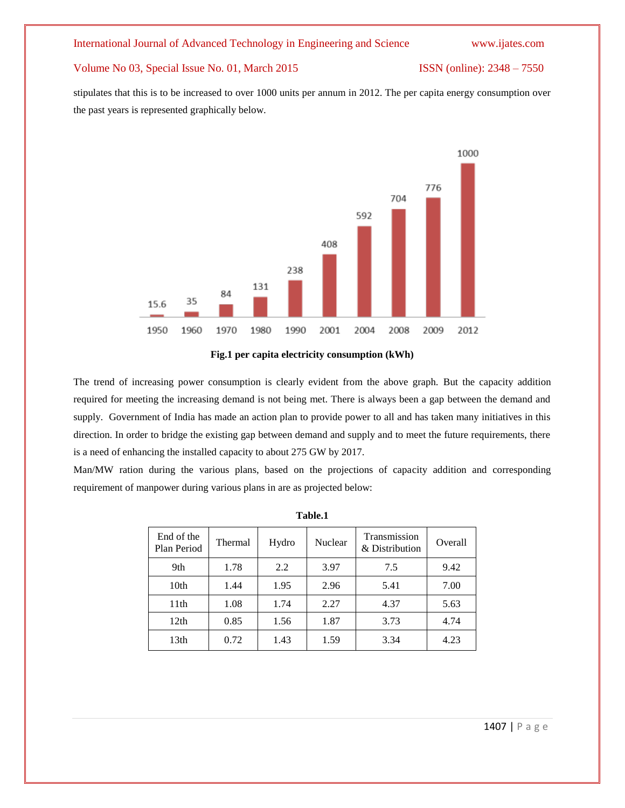# International Journal of Advanced Technology in Engineering and Science www.ijates.com

# Volume No 03, Special Issue No. 01, March 2015 ISSN (online): 2348 – 7550

stipulates that this is to be increased to over 1000 units per annum in 2012. The per capita energy consumption over the past years is represented graphically below.



**Fig.1 per capita electricity consumption (kWh)**

The trend of increasing power consumption is clearly evident from the above graph. But the capacity addition required for meeting the increasing demand is not being met. There is always been a gap between the demand and supply. Government of India has made an action plan to provide power to all and has taken many initiatives in this direction. In order to bridge the existing gap between demand and supply and to meet the future requirements, there is a need of enhancing the installed capacity to about 275 GW by 2017.

Man/MW ration during the various plans, based on the projections of capacity addition and corresponding requirement of manpower during various plans in are as projected below:

| End of the<br>Plan Period | Thermal | Hydro | Nuclear | Transmission<br>& Distribution | Overall |
|---------------------------|---------|-------|---------|--------------------------------|---------|
| 9th                       | 1.78    | 2.2   | 3.97    | 7.5                            | 9.42    |
| 10 <sub>th</sub>          | 1.44    | 1.95  | 2.96    | 5.41                           | 7.00    |
| 11 <sup>th</sup>          | 1.08    | 1.74  | 2.27    | 4.37                           | 5.63    |
| 12th                      | 0.85    | 1.56  | 1.87    | 3.73                           | 4.74    |
| 13th                      | 0.72    | 1.43  | 1.59    | 3.34                           | 4.23    |

| m<br>Ш |  |
|--------|--|
|--------|--|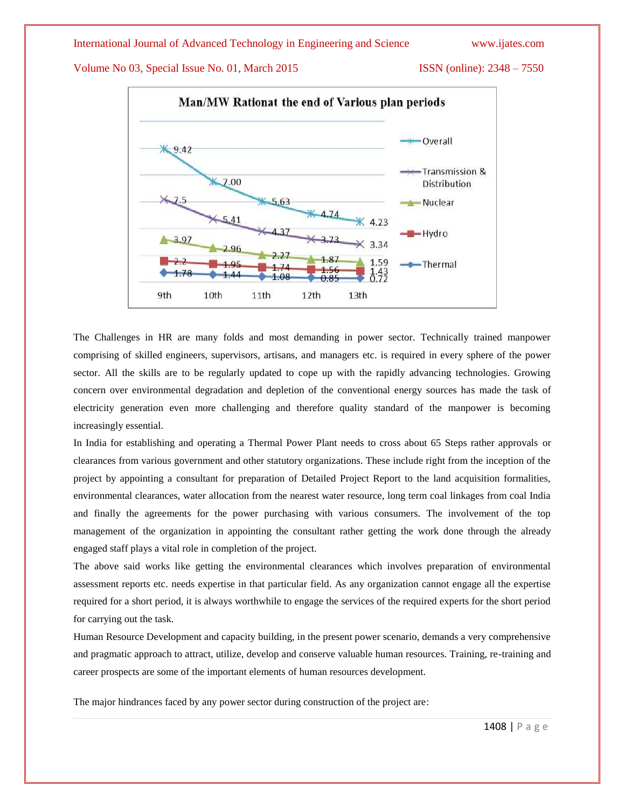

The Challenges in HR are many folds and most demanding in power sector. Technically trained manpower comprising of skilled engineers, supervisors, artisans, and managers etc. is required in every sphere of the power sector. All the skills are to be regularly updated to cope up with the rapidly advancing technologies. Growing concern over environmental degradation and depletion of the conventional energy sources has made the task of electricity generation even more challenging and therefore quality standard of the manpower is becoming increasingly essential.

In India for establishing and operating a Thermal Power Plant needs to cross about 65 Steps rather approvals or clearances from various government and other statutory organizations. These include right from the inception of the project by appointing a consultant for preparation of Detailed Project Report to the land acquisition formalities, environmental clearances, water allocation from the nearest water resource, long term coal linkages from coal India and finally the agreements for the power purchasing with various consumers. The involvement of the top management of the organization in appointing the consultant rather getting the work done through the already engaged staff plays a vital role in completion of the project.

The above said works like getting the environmental clearances which involves preparation of environmental assessment reports etc. needs expertise in that particular field. As any organization cannot engage all the expertise required for a short period, it is always worthwhile to engage the services of the required experts for the short period for carrying out the task.

Human Resource Development and capacity building, in the present power scenario, demands a very comprehensive and pragmatic approach to attract, utilize, develop and conserve valuable human resources. Training, re-training and career prospects are some of the important elements of human resources development.

The major hindrances faced by any power sector during construction of the project are: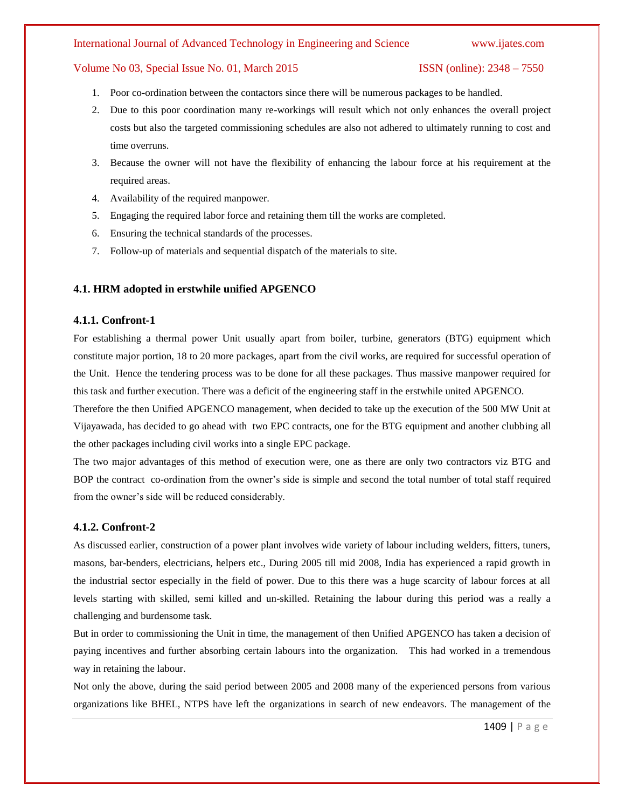# International Journal of Advanced Technology in Engineering and Science www.ijates.com

# Volume No 03, Special Issue No. 01, March 2015 ISSN (online): 2348 – 7550

- 1. Poor co-ordination between the contactors since there will be numerous packages to be handled.
- 2. Due to this poor coordination many re-workings will result which not only enhances the overall project costs but also the targeted commissioning schedules are also not adhered to ultimately running to cost and time overruns.
- 3. Because the owner will not have the flexibility of enhancing the labour force at his requirement at the required areas.
- 4. Availability of the required manpower.
- 5. Engaging the required labor force and retaining them till the works are completed.
- 6. Ensuring the technical standards of the processes.
- 7. Follow-up of materials and sequential dispatch of the materials to site.

# **4.1. HRM adopted in erstwhile unified APGENCO**

# **4.1.1. Confront-1**

For establishing a thermal power Unit usually apart from boiler, turbine, generators (BTG) equipment which constitute major portion, 18 to 20 more packages, apart from the civil works, are required for successful operation of the Unit. Hence the tendering process was to be done for all these packages. Thus massive manpower required for this task and further execution. There was a deficit of the engineering staff in the erstwhile united APGENCO.

Therefore the then Unified APGENCO management, when decided to take up the execution of the 500 MW Unit at Vijayawada, has decided to go ahead with two EPC contracts, one for the BTG equipment and another clubbing all the other packages including civil works into a single EPC package.

The two major advantages of this method of execution were, one as there are only two contractors viz BTG and BOP the contract co-ordination from the owner's side is simple and second the total number of total staff required from the owner's side will be reduced considerably.

# **4.1.2. Confront-2**

As discussed earlier, construction of a power plant involves wide variety of labour including welders, fitters, tuners, masons, bar-benders, electricians, helpers etc., During 2005 till mid 2008, India has experienced a rapid growth in the industrial sector especially in the field of power. Due to this there was a huge scarcity of labour forces at all levels starting with skilled, semi killed and un-skilled. Retaining the labour during this period was a really a challenging and burdensome task.

But in order to commissioning the Unit in time, the management of then Unified APGENCO has taken a decision of paying incentives and further absorbing certain labours into the organization. This had worked in a tremendous way in retaining the labour.

Not only the above, during the said period between 2005 and 2008 many of the experienced persons from various organizations like BHEL, NTPS have left the organizations in search of new endeavors. The management of the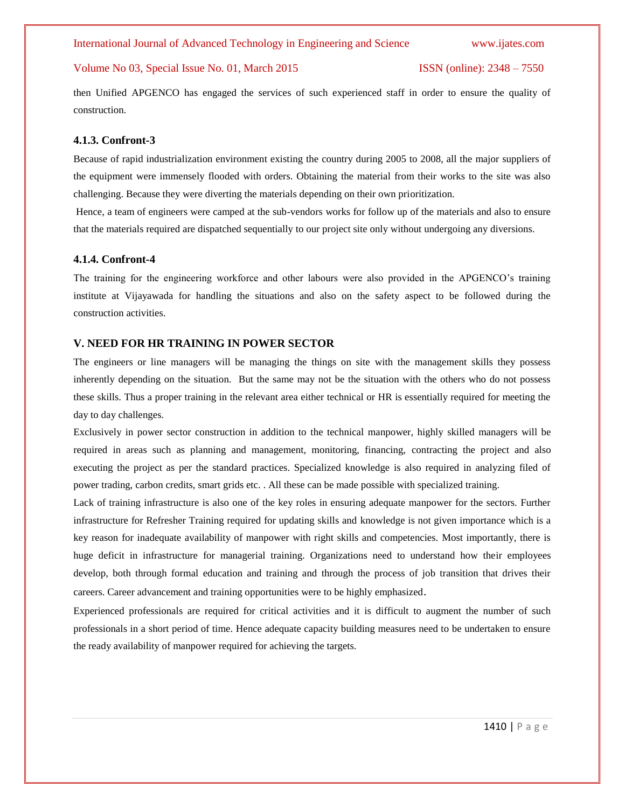then Unified APGENCO has engaged the services of such experienced staff in order to ensure the quality of construction.

# **4.1.3. Confront-3**

Because of rapid industrialization environment existing the country during 2005 to 2008, all the major suppliers of the equipment were immensely flooded with orders. Obtaining the material from their works to the site was also challenging. Because they were diverting the materials depending on their own prioritization.

Hence, a team of engineers were camped at the sub-vendors works for follow up of the materials and also to ensure that the materials required are dispatched sequentially to our project site only without undergoing any diversions.

### **4.1.4. Confront-4**

The training for the engineering workforce and other labours were also provided in the APGENCO's training institute at Vijayawada for handling the situations and also on the safety aspect to be followed during the construction activities.

### **V. NEED FOR HR TRAINING IN POWER SECTOR**

The engineers or line managers will be managing the things on site with the management skills they possess inherently depending on the situation. But the same may not be the situation with the others who do not possess these skills. Thus a proper training in the relevant area either technical or HR is essentially required for meeting the day to day challenges.

Exclusively in power sector construction in addition to the technical manpower, highly skilled managers will be required in areas such as planning and management, monitoring, financing, contracting the project and also executing the project as per the standard practices. Specialized knowledge is also required in analyzing filed of power trading, carbon credits, smart grids etc. . All these can be made possible with specialized training.

Lack of training infrastructure is also one of the key roles in ensuring adequate manpower for the sectors. Further infrastructure for Refresher Training required for updating skills and knowledge is not given importance which is a key reason for inadequate availability of manpower with right skills and competencies. Most importantly, there is huge deficit in infrastructure for managerial training. Organizations need to understand how their employees develop, both through formal education and training and through the process of job transition that drives their careers. Career advancement and training opportunities were to be highly emphasized.

Experienced professionals are required for critical activities and it is difficult to augment the number of such professionals in a short period of time. Hence adequate capacity building measures need to be undertaken to ensure the ready availability of manpower required for achieving the targets.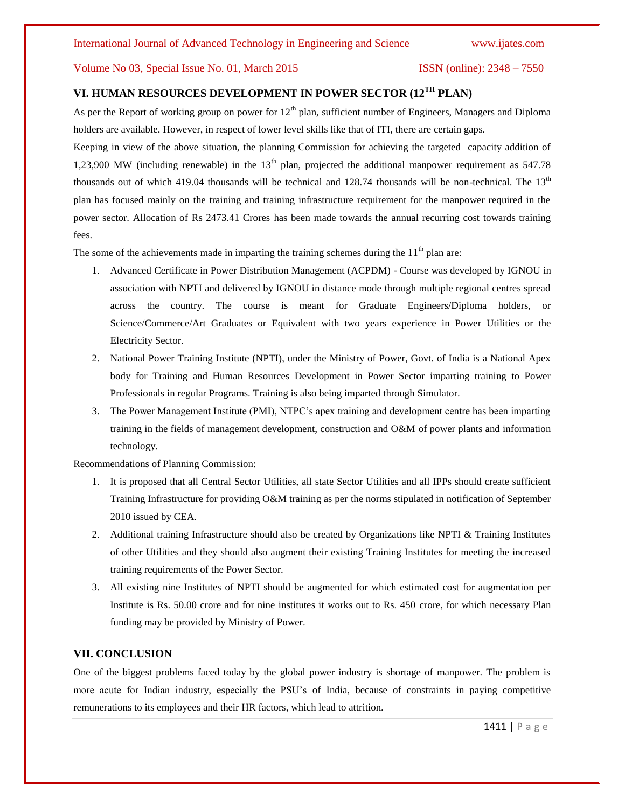# **VI. HUMAN RESOURCES DEVELOPMENT IN POWER SECTOR (12TH PLAN)**

As per the Report of working group on power for  $12<sup>th</sup>$  plan, sufficient number of Engineers, Managers and Diploma holders are available. However, in respect of lower level skills like that of ITI, there are certain gaps.

Keeping in view of the above situation, the planning Commission for achieving the targeted capacity addition of 1,23,900 MW (including renewable) in the  $13<sup>th</sup>$  plan, projected the additional manpower requirement as 547.78 thousands out of which 419.04 thousands will be technical and 128.74 thousands will be non-technical. The  $13<sup>th</sup>$ plan has focused mainly on the training and training infrastructure requirement for the manpower required in the power sector. Allocation of Rs 2473.41 Crores has been made towards the annual recurring cost towards training fees.

The some of the achievements made in imparting the training schemes during the  $11<sup>th</sup>$  plan are:

- 1. Advanced Certificate in Power Distribution Management (ACPDM) Course was developed by IGNOU in association with NPTI and delivered by IGNOU in distance mode through multiple regional centres spread across the country. The course is meant for Graduate Engineers/Diploma holders, or Science/Commerce/Art Graduates or Equivalent with two years experience in Power Utilities or the Electricity Sector.
- 2. National Power Training Institute (NPTI), under the Ministry of Power, Govt. of India is a National Apex body for Training and Human Resources Development in Power Sector imparting training to Power Professionals in regular Programs. Training is also being imparted through Simulator.
- 3. The Power Management Institute (PMI), NTPC's apex training and development centre has been imparting training in the fields of management development, construction and O&M of power plants and information technology.

Recommendations of Planning Commission:

- 1. It is proposed that all Central Sector Utilities, all state Sector Utilities and all IPPs should create sufficient Training Infrastructure for providing O&M training as per the norms stipulated in notification of September 2010 issued by CEA.
- 2. Additional training Infrastructure should also be created by Organizations like NPTI & Training Institutes of other Utilities and they should also augment their existing Training Institutes for meeting the increased training requirements of the Power Sector.
- 3. All existing nine Institutes of NPTI should be augmented for which estimated cost for augmentation per Institute is Rs. 50.00 crore and for nine institutes it works out to Rs. 450 crore, for which necessary Plan funding may be provided by Ministry of Power.

# **VII. CONCLUSION**

One of the biggest problems faced today by the global power industry is shortage of manpower. The problem is more acute for Indian industry, especially the PSU's of India, because of constraints in paying competitive remunerations to its employees and their HR factors, which lead to attrition.